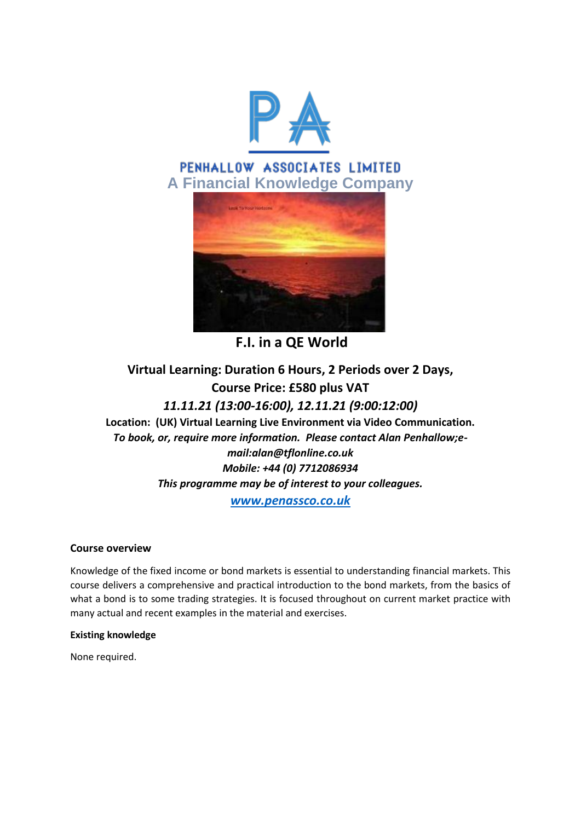

# PENHALLOW ASSOCIATES LIMITED **A Financial Knowledge Company**



**F.I. in a QE World**

## **Virtual Learning: Duration 6 Hours, 2 Periods over 2 Days, Course Price: £580 plus VAT** *11.11.21 (13:00-16:00), 12.11.21 (9:00:12:00)* **Location: (UK) Virtual Learning Live Environment via Video Communication.** *To book, or, require more information. Please contact Alan Penhallow;email:alan@tflonline.co.uk Mobile: +44 (0) 7712086934 This programme may be of interest to your colleagues. [www.penassco.co.uk](http://www.penassco.co.uk/)*

## **Course overview**

Knowledge of the fixed income or bond markets is essential to understanding financial markets. This course delivers a comprehensive and practical introduction to the bond markets, from the basics of what a bond is to some trading strategies. It is focused throughout on current market practice with many actual and recent examples in the material and exercises.

## **Existing knowledge**

None required.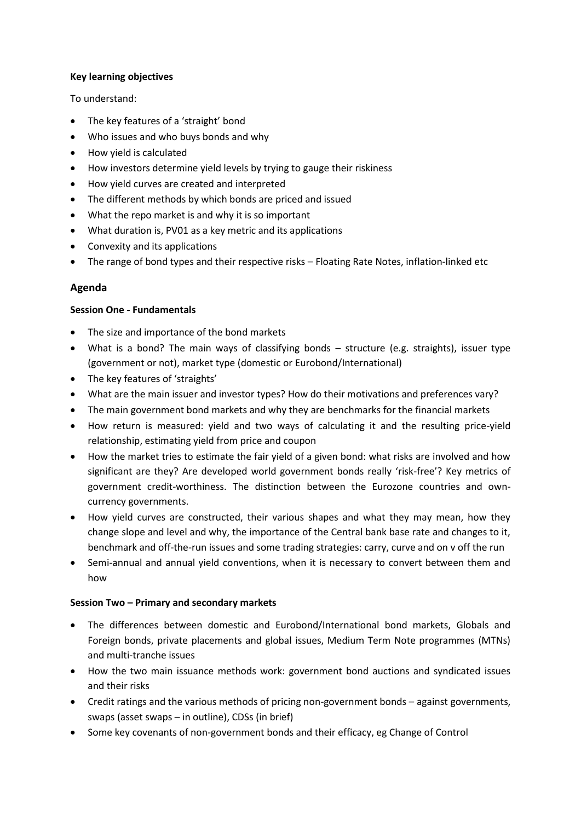#### **Key learning objectives**

To understand:

- The key features of a 'straight' bond
- Who issues and who buys bonds and why
- How yield is calculated
- How investors determine yield levels by trying to gauge their riskiness
- How yield curves are created and interpreted
- The different methods by which bonds are priced and issued
- What the repo market is and why it is so important
- What duration is, PV01 as a key metric and its applications
- Convexity and its applications
- The range of bond types and their respective risks Floating Rate Notes, inflation-linked etc

## **Agenda**

#### **Session One - Fundamentals**

- The size and importance of the bond markets
- What is a bond? The main ways of classifying bonds structure (e.g. straights), issuer type (government or not), market type (domestic or Eurobond/International)
- The key features of 'straights'
- What are the main issuer and investor types? How do their motivations and preferences vary?
- The main government bond markets and why they are benchmarks for the financial markets
- How return is measured: yield and two ways of calculating it and the resulting price-yield relationship, estimating yield from price and coupon
- How the market tries to estimate the fair yield of a given bond: what risks are involved and how significant are they? Are developed world government bonds really 'risk-free'? Key metrics of government credit-worthiness. The distinction between the Eurozone countries and owncurrency governments.
- How yield curves are constructed, their various shapes and what they may mean, how they change slope and level and why, the importance of the Central bank base rate and changes to it, benchmark and off-the-run issues and some trading strategies: carry, curve and on v off the run
- Semi-annual and annual yield conventions, when it is necessary to convert between them and how

## **Session Two – Primary and secondary markets**

- The differences between domestic and Eurobond/International bond markets, Globals and Foreign bonds, private placements and global issues, Medium Term Note programmes (MTNs) and multi-tranche issues
- How the two main issuance methods work: government bond auctions and syndicated issues and their risks
- Credit ratings and the various methods of pricing non-government bonds against governments, swaps (asset swaps – in outline), CDSs (in brief)
- Some key covenants of non-government bonds and their efficacy, eg Change of Control